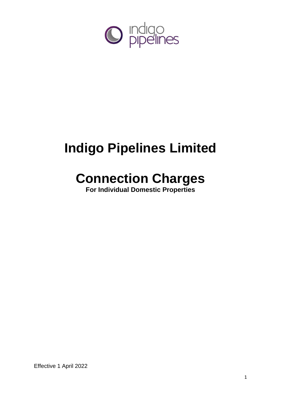

# **Indigo Pipelines Limited**

## **Connection Charges**

**For Individual Domestic Properties**

Effective 1 April 2022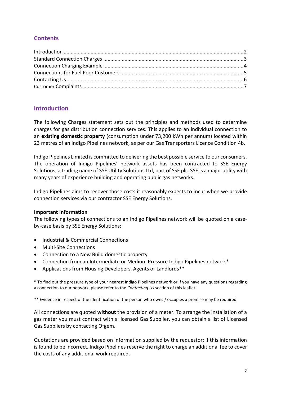## **Contents**

## <span id="page-1-0"></span>**Introduction**

The following Charges statement sets out the principles and methods used to determine charges for gas distribution connection services. This applies to an individual connection to an **existing domestic property** (consumption under 73,200 kWh per annum) located within 23 metres of an Indigo Pipelines network, as per our Gas Transporters Licence Condition 4b.

Indigo Pipelines Limited is committed to delivering the best possible service to our consumers. The operation of Indigo Pipelines' network assets has been contracted to SSE Energy Solutions, a trading name of SSE Utility Solutions Ltd, part of SSE plc. SSE is a major utility with many years of experience building and operating public gas networks.

Indigo Pipelines aims to recover those costs it reasonably expects to incur when we provide connection services via our contractor SSE Energy Solutions.

#### **Important Information**

The following types of connections to an Indigo Pipelines network will be quoted on a caseby-case basis by SSE Energy Solutions:

- Industrial & Commercial Connections
- Multi-Site Connections
- Connection to a New Build domestic property
- Connection from an Intermediate or Medium Pressure Indigo Pipelines network\*
- Applications from Housing Developers, Agents or Landlords\*\*

\* To find out the pressure type of your nearest Indigo Pipelines network or if you have any questions regarding a connection to our network, please refer to the *Contacting Us* section of this leaflet.

\*\* Evidence in respect of the identification of the person who owns / occupies a premise may be required.

All connections are quoted **without** the provision of a meter. To arrange the installation of a gas meter you must contract with a licensed Gas Supplier, you can obtain a list of Licensed Gas Suppliers by contacting Ofgem.

Quotations are provided based on information supplied by the requestor; if this information is found to be incorrect, Indigo Pipelines reserve the right to charge an additional fee to cover the costs of any additional work required.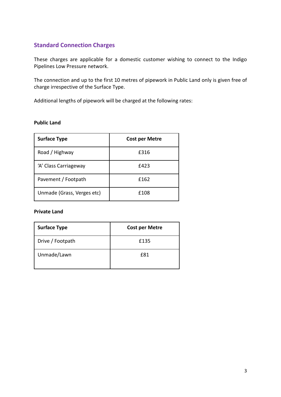## <span id="page-2-0"></span>**Standard Connection Charges**

These charges are applicable for a domestic customer wishing to connect to the Indigo Pipelines Low Pressure network.

The connection and up to the first 10 metres of pipework in Public Land only is given free of charge irrespective of the Surface Type.

Additional lengths of pipework will be charged at the following rates:

## **Public Land**

| <b>Surface Type</b>        | <b>Cost per Metre</b> |  |
|----------------------------|-----------------------|--|
| Road / Highway             | £316                  |  |
| 'A' Class Carriageway      | £423                  |  |
| Pavement / Footpath        | £162                  |  |
| Unmade (Grass, Verges etc) | f108                  |  |

#### **Private Land**

| <b>Surface Type</b> | <b>Cost per Metre</b> |  |
|---------------------|-----------------------|--|
| Drive / Footpath    | £135                  |  |
| Unmade/Lawn         | f81                   |  |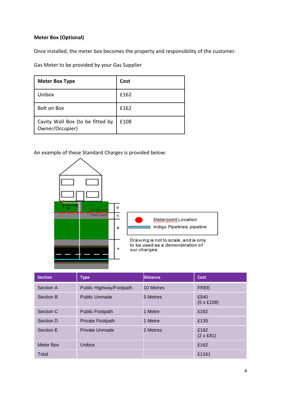## **Meter Box (Optional)**

Once installed, the meter box becomes the property and responsibility of the customer.

Gas Meter to be provided by your Gas Supplier

| <b>Meter Box Type</b>                               | Cost |
|-----------------------------------------------------|------|
| Unibox                                              | f162 |
| <b>Bolt on Box</b>                                  | £162 |
| Cavity Wall Box (to be fitted by<br>Owner/Occupier) | £108 |

<span id="page-3-0"></span>An example of these Standard Charges is provided below:



| <b>Section</b>   | <b>Type</b>             | <b>Distance</b> | <b>Cost</b>               |
|------------------|-------------------------|-----------------|---------------------------|
| Section A        | Public Highway/Footpath | 10 Metres       | <b>FREE</b>               |
| Section B        | <b>Public Unmade</b>    | 5 Metres        | £540<br>$(5 \times £108)$ |
| Section C        | <b>Public Footpath</b>  | 1 Metre         | £162                      |
| Section D        | <b>Private Footpath</b> | 1 Metre         | £135                      |
| Section E        | <b>Private Unmade</b>   | 2 Metres        | £162<br>$(2 \times £81)$  |
| <b>Meter Box</b> | <b>Unibox</b>           |                 | £162                      |
| Total            |                         |                 | £1161                     |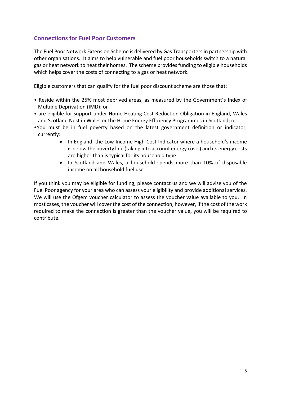## <span id="page-4-0"></span>**Connections for Fuel Poor Customers**

The Fuel Poor Network Extension Scheme is delivered by Gas Transporters in partnership with other organisations. It aims to help vulnerable and fuel poor households switch to a natural gas or heat network to heat their homes. The scheme provides funding to eligible households which helps cover the costs of connecting to a gas or heat network.

Eligible customers that can qualify for the fuel poor discount scheme are those that:

- Reside within the 25% most deprived areas, as measured by the Government's Index of Multiple Deprivation (IMD); or
- are eligible for support under Home Heating Cost Reduction Obligation in England, Wales and Scotland Nest in Wales or the Home Energy Efficiency Programmes in Scotland; or
- •You must be in fuel poverty based on the latest government definition or indicator, currently:
	- In England, the Low-Income High-Cost Indicator where a household's income is below the poverty line (taking into account energy costs) and its energy costs are higher than is typical for its household type
	- In Scotland and Wales, a household spends more than 10% of disposable income on all household fuel use

If you think you may be eligible for funding, please contact us and we will advise you of the Fuel Poor agency for your area who can assess your eligibility and provide additional services. We will use the Ofgem voucher calculator to assess the voucher value available to you. In most cases, the voucher will cover the cost of the connection, however, if the cost of the work required to make the connection is greater than the voucher value, you will be required to contribute.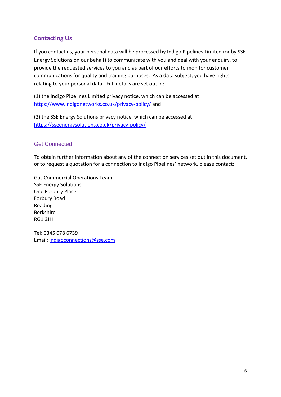## <span id="page-5-0"></span>**Contacting Us**

If you contact us, your personal data will be processed by Indigo Pipelines Limited (or by SSE Energy Solutions on our behalf) to communicate with you and deal with your enquiry, to provide the requested services to you and as part of our efforts to monitor customer communications for quality and training purposes. As a data subject, you have rights relating to your personal data. Full details are set out in:

(1) the Indigo Pipelines Limited privacy notice, which can be accessed at <https://www.indigonetworks.co.uk/privacy-policy/> and

(2) the SSE Energy Solutions privacy notice, which can be accessed at <https://sseenergysolutions.co.uk/privacy-policy/>

### Get Connected

To obtain further information about any of the connection services set out in this document, or to request a quotation for a connection to Indigo Pipelines' network, please contact:

Gas Commercial Operations Team SSE Energy Solutions One Forbury Place Forbury Road Reading Berkshire RG1 3JH

<span id="page-5-1"></span>Tel: 0345 078 6739 Email: [indigoconnections@sse.com](mailto:indigoconnections@sse.com)